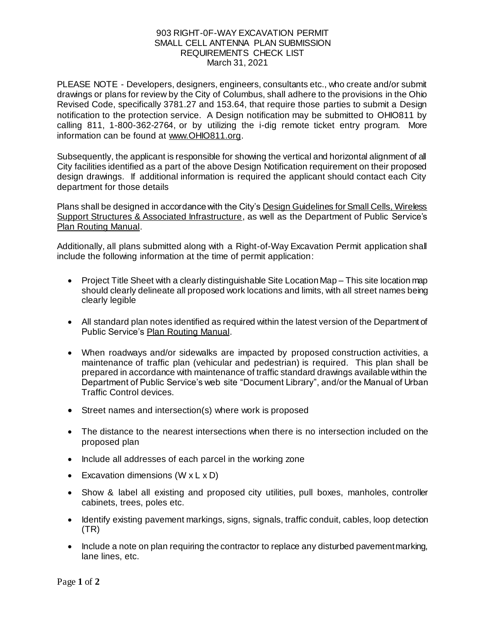## 903 RIGHT-0F-WAY EXCAVATION PERMIT SMALL CELL ANTENNA PLAN SUBMISSION REQUIREMENTS CHECK LIST March 31, 2021

PLEASE NOTE - Developers, designers, engineers, consultants etc., who create and/or submit drawings or plans for review by the City of Columbus, shall adhere to the provisions in the Ohio Revised Code, specifically 3781.27 and 153.64, that require those parties to submit a Design notification to the protection service. A Design notification may be submitted to OHIO811 by calling 811, 1-800-362-2764, or by utilizing the i-dig remote ticket entry program. More information can be found [at www.OHIO811.org](https://urldefense.com/v3/__http:/www.OHIO811.org__;!!J-4R7rTSYA!P_8rGLr_AIbjxfI4V6BXsRDjJzH0GsSTjP-L1iiaKl8eu4zzs_85BXDdH1TB_nYX6FmHFg$).

Subsequently, the applicant is responsible for showing the vertical and horizontal alignment of all City facilities identified as a part of the above Design Notification requirement on their proposed design drawings. If additional information is required the applicant should contact each City department for those details

Plans shall be designed in accordance with the City'[s Design Guidelines for Small Cells, Wireless](https://city.ektedit.columbus.local/WorkArea/DownloadAsset.aspx?id=2147519643)  [Support Structures & Associated Infrastructure](https://city.ektedit.columbus.local/WorkArea/DownloadAsset.aspx?id=2147519643), as well as the Department of Public Service's Plan Routing Manual.

Additionally, all plans submitted along with a Right-of-Way Excavation Permit application shall include the following information at the time of permit application:

- Project Title Sheet with a clearly distinguishable Site Location Map This site location map should clearly delineate all proposed work locations and limits, with all street names being clearly legible
- All standard plan notes identified as required within the latest version of the Department of Public Service's Plan Routing Manual.
- When roadways and/or sidewalks are impacted by proposed construction activities, a maintenance of traffic plan (vehicular and pedestrian) is required. This plan shall be prepared in accordance with maintenance of traffic standard drawings available within the Department of Public Service's web site "Document Library", and/or the Manual of Urban Traffic Control devices.
- Street names and intersection(s) where work is proposed
- The distance to the nearest intersections when there is no intersection included on the proposed plan
- Include all addresses of each parcel in the working zone
- Excavation dimensions  $(W \times L \times D)$
- Show & label all existing and proposed city utilities, pull boxes, manholes, controller cabinets, trees, poles etc.
- Identify existing pavement markings, signs, signals, traffic conduit, cables, loop detection (TR)
- Include a note on plan requiring the contractor to replace any disturbed pavement marking, lane lines, etc.